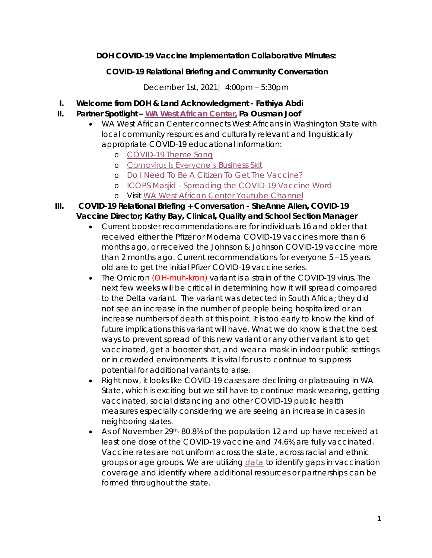**DOH COVID-19 Vaccine Implementation Collaborative Minutes:**

**COVID-19 Relational Briefing and Community Conversation**

December 1st, 2021| 4:00pm – 5:30pm

- **I. Welcome from DOH & Land Acknowledgment - Fathiya Abdi**
- **II. Partner Spotlight – [WA West African Center,](https://wawac.org/) Pa Ousman Joof**
	- WA West African Center connects West Africans in Washington State with local community resources and culturally relevant and linguistically appropriate COVID-19 educational information:
		- o [COVID-19 Theme Song](https://www.youtube.com/watch?v=djK6uBxwCdo)
		- o [Cornavirus Is Everyone's](https://www.youtube.com/watch?v=O_vBoaqEAUw) Business Skit
		- o [Do I Need To Be A Citizen To Get The Vaccine?](https://www.youtube.com/watch?v=pB8HdOVzjdk)
		- o ICOPS Masjid [Spreading the COVID-19 Vaccine Word](https://www.youtube.com/watch?v=TE7UBUdoAxg&t=4s)
		- o Visit [WA West African Center Youtube Channel](https://www.youtube.com/c/GambianT/videos)
- **III. COVID-19 Relational Briefing + Conversation - SheAnne Allen, COVID-19 Vaccine Director; Kathy Bay, Clinical, Quality and School Section Manager**
	- Current booster recommendations are for individuals 16 and older that received either the Pfizer or Moderna COVID-19 vaccines more than 6 months ago, or received the Johnson & Johnson COVID-19 vaccine more than 2 months ago. Current recommendations for everyone 5 –15 years old are to get the initial Pfizer COVID-19 vaccine series.
	- The Omicron (OH-muh-kron) variant is a strain of the COVID-19 virus. The next few weeks will be critical in determining how it will spread compared to the Delta variant. The variant was detected in South Africa; they did not see an increase in the number of people being hospitalized or an increase numbers of death at this point. It is too early to know the kind of future implications this variant will have. What we do know is that the best ways to prevent spread of this new variant or any other variant is to get vaccinated, get a booster shot, and wear a mask in indoor public settings or in crowded environments. It is vital for us to continue to suppress potential for additional variants to arise.
	- Right now, it looks like COVID-19 cases are declining or plateauing in WA State, which is exciting but we still have to continue mask wearing, getting vaccinated, social distancing and other COVID-19 public health measures especially considering we are seeing an increase in cases in neighboring states.
	- As of November 29<sup>th, 80.8%</sup> of the population 12 and up have received at least one dose of the COVID-19 vaccine and 74.6% are fully vaccinated. Vaccine rates are not uniform across the state, across racial and ethnic groups or age groups. We are utilizing **[data](https://www.doh.wa.gov/Emergencies/COVID19/DataDashboard) to identify gaps in vaccination** coverage and identify where additional resources or partnerships can be formed throughout the state.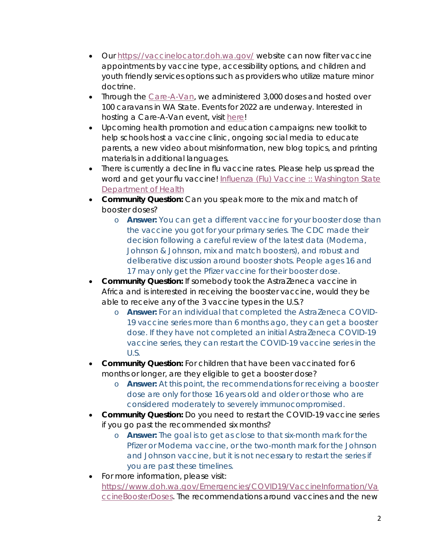- Our<https://vaccinelocator.doh.wa.gov/> website can now filter vaccine appointments by vaccine type, accessibility options, and children and youth friendly services options such as providers who utilize mature minor doctrine.
- Through the [Care-A-Van,](https://www.doh.wa.gov/Emergencies/COVID19/Vaccine/CareaVan) we administered 3,000 doses and hosted over 100 caravans in WA State. Events for 2022 are underway. Interested in hosting a Care-A-Van event, visit [here!](https://www.doh.wa.gov/Emergencies/COVID19/Vaccine/CareaVan)
- Upcoming health promotion and education campaigns: new toolkit to help schools host a vaccine clinic, ongoing social media to educate parents, a new video about misinformation, new blog topics, and printing materials in additional languages.
- There is currently a decline in flu vaccine rates. Please help us spread the word and get your flu vaccine! Influenza (Flu) Vaccine :: Washington State [Department of Health](https://www.doh.wa.gov/YouandYourFamily/Immunization/DiseasesandVaccines/InfluenzaFluVaccine)
- **Community Question:** Can you speak more to the mix and match of booster doses?
	- o **Answer:** You can get a different vaccine for your booster dose than the vaccine you got for your primary series. The CDC made their decision following a careful review of the latest data (Moderna, Johnson & Johnson, mix and match boosters), and robust and deliberative discussion around booster shots. People ages 16 and 17 may only get the Pfizer vaccine for their booster dose.
- **Community Question:** If somebody took the AstraZeneca vaccine in Africa and is interested in receiving the booster vaccine, would they be able to receive any of the 3 vaccine types in the U.S.?
	- o **Answer:** For an individual that completed the AstraZeneca COVID-19 vaccine series more than 6 months ago, they can get a booster dose. If they have *not* completed an initial AstraZeneca COVID-19 vaccine series, they can restart the COVID-19 vaccine series in the U.S.
- **Community Question:** For children that have been vaccinated for 6 months or longer, are they eligible to get a booster dose?
	- o **Answer:** At this point, the recommendations for receiving a booster dose are only for those 16 years old and older or those who are considered moderately to severely immunocompromised.
- **Community Question:** Do you need to restart the COVID-19 vaccine series if you go past the recommended six months?
	- o **Answer:** The goal is to get as close to that six-month mark for the Pfizer or Moderna vaccine, or the two-month mark for the Johnson and Johnson vaccine, but it is not necessary to restart the series if you are past these timelines.
- For more information, please visit: [https://www.doh.wa.gov/Emergencies/COVID19/VaccineInformation/Va](https://www.doh.wa.gov/Emergencies/COVID19/VaccineInformation/VaccineBoosterDoses) [ccineBoosterDoses.](https://www.doh.wa.gov/Emergencies/COVID19/VaccineInformation/VaccineBoosterDoses) The recommendations around vaccines and the new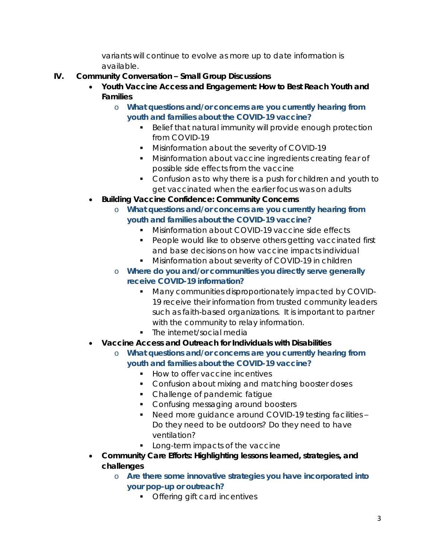variants will continue to evolve as more up to date information is available.

- **IV. Community Conversation – Small Group Discussions** 
	- **Youth Vaccine Access and Engagement: How to Best Reach Youth and Families**
		- o *What questions and/or concerns are you currently hearing from youth and families about the COVID-19 vaccine?* 
			- **Belief that natural immunity will provide enough protection** from COVID-19
			- **Misinformation about the severity of COVID-19**
			- **Misinformation about vaccine ingredients creating fear of** possible side effects from the vaccine
			- Confusion as to why there is a push for children and youth to get vaccinated when the earlier focus was on adults
	- **Building Vaccine Confidence: Community Concerns** 
		- o *What questions and/or concerns are you currently hearing from youth and families about the COVID-19 vaccine?*
			- **Misinformation about COVID-19 vaccine side effects**
			- **People would like to observe others getting vaccinated first** and base decisions on how vaccine impacts individual
			- **Misinformation about severity of COVID-19 in children**
		- o *Where do you and/or communities you directly serve generally receive COVID-19 information?*
			- **Many communities disproportionately impacted by COVID-**19 receive their information from trusted community leaders such as faith-based organizations. It is important to partner with the community to relay information.
			- The internet/social media
	- **Vaccine Access and Outreach for Individuals with Disabilities**
		- o *What questions and/or concerns are you currently hearing from youth and families about the COVID-19 vaccine?*
			- How to offer vaccine incentives
			- **Confusion about mixing and matching booster doses**
			- Challenge of pandemic fatique
			- Confusing messaging around boosters
			- Need more guidance around COVID-19 testing facilities -*Do they need to be outdoors? Do they need to have ventilation?*
			- **Long-term impacts of the vaccine**
	- **Community Care Efforts: Highlighting lessons learned, strategies, and challenges** 
		- o *Are there some innovative strategies you have incorporated into your pop-up or outreach?*
			- **•** Offering gift card incentives